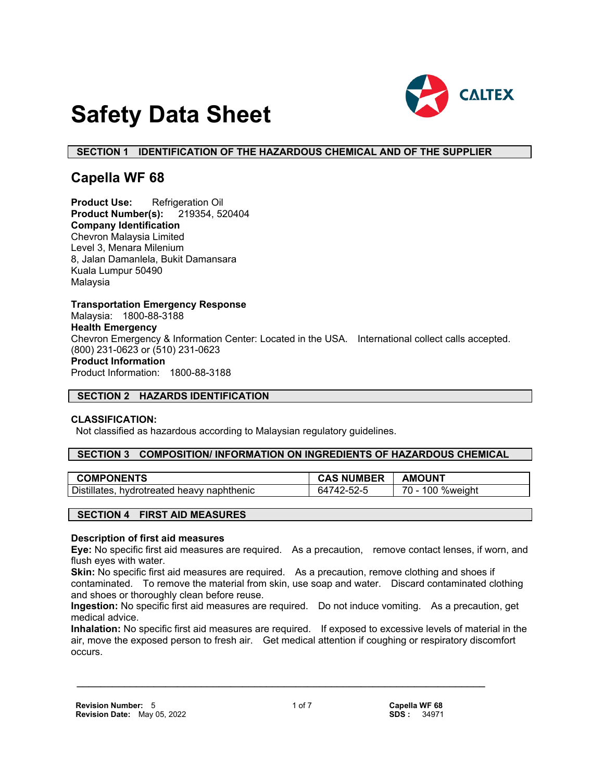

# **Safety Data Sheet**

## **SECTION 1 IDENTIFICATION OF THE HAZARDOUS CHEMICAL AND OF THE SUPPLIER**

## **Capella WF 68**

**Product Use:** Refrigeration Oil **Product Number(s):** 219354, 520404 **Company Identification** Chevron Malaysia Limited Level 3, Menara Milenium 8, Jalan Damanlela, Bukit Damansara Kuala Lumpur 50490 Malaysia

**Transportation Emergency Response** Malaysia: 1800-88-3188 **Health Emergency** Chevron Emergency & Information Center: Located in the USA. International collect calls accepted. (800) 231-0623 or (510) 231-0623 **Product Information** Product Information: 1800-88-3188

## **SECTION 2 HAZARDS IDENTIFICATION**

#### **CLASSIFICATION:**

Not classified as hazardous according to Malaysian regulatory guidelines.

#### **SECTION 3 COMPOSITION/ INFORMATION ON INGREDIENTS OF HAZARDOUS CHEMICAL**

| <b>COMPONENTS</b>                             | <b>NUMBER</b>  | <b>AMOUNT</b>            |
|-----------------------------------------------|----------------|--------------------------|
| Distillates,<br>hvdrotreated heavy naphthenic | 742-52-5<br>64 | %weight<br>$70 -$<br>100 |

## **SECTION 4 FIRST AID MEASURES**

#### **Description of first aid measures**

**Eye:** No specific first aid measures are required. As a precaution, remove contact lenses, if worn, and flush eyes with water.

**Skin:** No specific first aid measures are required. As a precaution, remove clothing and shoes if contaminated. To remove the material from skin, use soap and water. Discard contaminated clothing and shoes or thoroughly clean before reuse.

**Ingestion:** No specific first aid measures are required. Do not induce vomiting. As a precaution, get medical advice.

**Inhalation:** No specific first aid measures are required. If exposed to excessive levels of material in the air, move the exposed person to fresh air. Get medical attention if coughing or respiratory discomfort occurs.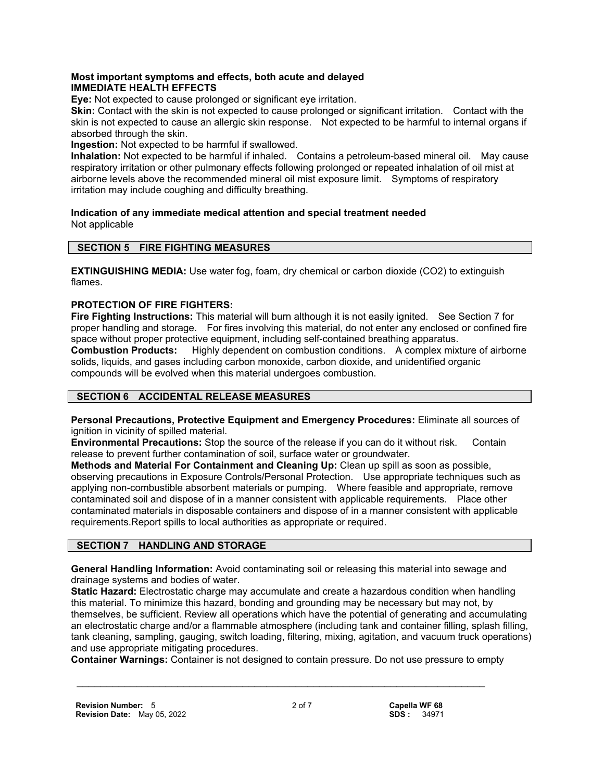## **Most important symptoms and effects, both acute and delayed IMMEDIATE HEALTH EFFECTS**

**Eye:** Not expected to cause prolonged or significant eye irritation.

**Skin:** Contact with the skin is not expected to cause prolonged or significant irritation. Contact with the skin is not expected to cause an allergic skin response. Not expected to be harmful to internal organs if absorbed through the skin.

**Ingestion:** Not expected to be harmful if swallowed.

**Inhalation:** Not expected to be harmful if inhaled. Contains a petroleum-based mineral oil. May cause respiratory irritation or other pulmonary effects following prolonged or repeated inhalation of oil mist at airborne levels above the recommended mineral oil mist exposure limit. Symptoms of respiratory irritation may include coughing and difficulty breathing.

**Indication of any immediate medical attention and special treatment needed** Not applicable

## **SECTION 5 FIRE FIGHTING MEASURES**

**EXTINGUISHING MEDIA:** Use water fog, foam, dry chemical or carbon dioxide (CO2) to extinguish flames.

## **PROTECTION OF FIRE FIGHTERS:**

**Fire Fighting Instructions:** This material will burn although it is not easily ignited. See Section 7 for proper handling and storage. For fires involving this material, do not enter any enclosed or confined fire space without proper protective equipment, including self-contained breathing apparatus. **Combustion Products:** Highly dependent on combustion conditions. A complex mixture of airborne solids, liquids, and gases including carbon monoxide, carbon dioxide, and unidentified organic compounds will be evolved when this material undergoes combustion.

## **SECTION 6 ACCIDENTAL RELEASE MEASURES**

**Personal Precautions, Protective Equipment and Emergency Procedures:** Eliminate all sources of ignition in vicinity of spilled material.

**Environmental Precautions:** Stop the source of the release if you can do it without risk. Contain release to prevent further contamination of soil, surface water or groundwater.

**Methods and Material For Containment and Cleaning Up:** Clean up spill as soon as possible, observing precautions in Exposure Controls/Personal Protection. Use appropriate techniques such as applying non-combustible absorbent materials or pumping. Where feasible and appropriate, remove contaminated soil and dispose of in a manner consistent with applicable requirements. Place other contaminated materials in disposable containers and dispose of in a manner consistent with applicable requirements.Report spills to local authorities as appropriate or required.

## **SECTION 7 HANDLING AND STORAGE**

**General Handling Information:** Avoid contaminating soil or releasing this material into sewage and drainage systems and bodies of water.

**Static Hazard:** Electrostatic charge may accumulate and create a hazardous condition when handling this material. To minimize this hazard, bonding and grounding may be necessary but may not, by themselves, be sufficient. Review all operations which have the potential of generating and accumulating an electrostatic charge and/or a flammable atmosphere (including tank and container filling, splash filling, tank cleaning, sampling, gauging, switch loading, filtering, mixing, agitation, and vacuum truck operations) and use appropriate mitigating procedures.

**Container Warnings:** Container is not designed to contain pressure. Do not use pressure to empty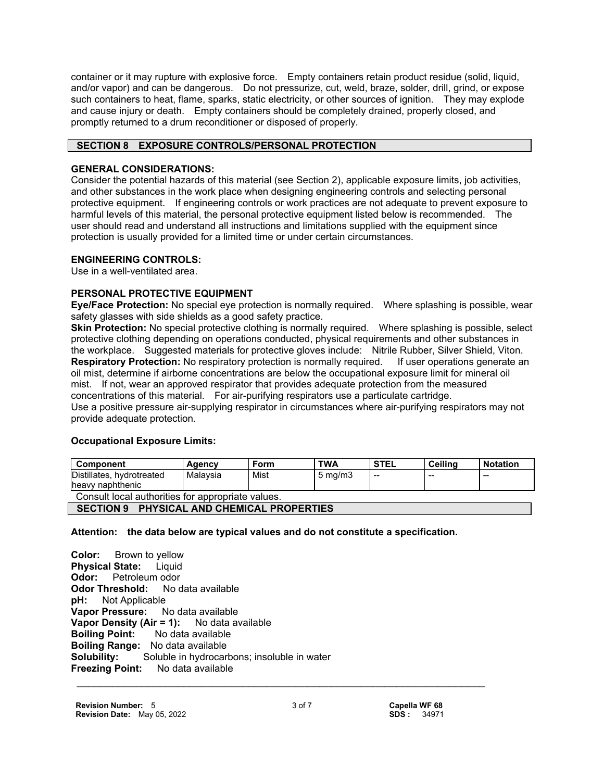container or it may rupture with explosive force. Empty containers retain product residue (solid, liquid, and/or vapor) and can be dangerous. Do not pressurize, cut, weld, braze, solder, drill, grind, or expose such containers to heat, flame, sparks, static electricity, or other sources of ignition. They may explode and cause injury or death. Empty containers should be completely drained, properly closed, and promptly returned to a drum reconditioner or disposed of properly.

## **SECTION 8 EXPOSURE CONTROLS/PERSONAL PROTECTION**

## **GENERAL CONSIDERATIONS:**

Consider the potential hazards of this material (see Section 2), applicable exposure limits, job activities, and other substances in the work place when designing engineering controls and selecting personal protective equipment. If engineering controls or work practices are not adequate to prevent exposure to harmful levels of this material, the personal protective equipment listed below is recommended. The user should read and understand all instructions and limitations supplied with the equipment since protection is usually provided for a limited time or under certain circumstances.

## **ENGINEERING CONTROLS:**

Use in a well-ventilated area.

## **PERSONAL PROTECTIVE EQUIPMENT**

**Eye/Face Protection:** No special eye protection is normally required. Where splashing is possible, wear safety glasses with side shields as a good safety practice.

**Skin Protection:** No special protective clothing is normally required. Where splashing is possible, select protective clothing depending on operations conducted, physical requirements and other substances in the workplace. Suggested materials for protective gloves include: Nitrile Rubber, Silver Shield, Viton. **Respiratory Protection:** No respiratory protection is normally required. If user operations generate an oil mist, determine if airborne concentrations are below the occupational exposure limit for mineral oil mist. If not, wear an approved respirator that provides adequate protection from the measured concentrations of this material. For air-purifying respirators use a particulate cartridge. Use a positive pressure air-supplying respirator in circumstances where air-purifying respirators may not provide adequate protection.

## **Occupational Exposure Limits:**

| Component                                        | Agency   | Form | <b>TWA</b>         | ' STEL | Ceiling | <b>Notation</b> |
|--------------------------------------------------|----------|------|--------------------|--------|---------|-----------------|
| Distillates, hydrotreated<br>heavy naphthenic    | Malavsia | Mist | $5 \text{ ma/m}$ 3 | $-$    | $- -$   | $- -$           |
| Canault local outborition for annropriate values |          |      |                    |        |         |                 |

Consult local authorities for appropriate values.

 **SECTION 9 PHYSICAL AND CHEMICAL PROPERTIES**

## **Attention: the data below are typical values and do not constitute a specification.**

 **\_\_\_\_\_\_\_\_\_\_\_\_\_\_\_\_\_\_\_\_\_\_\_\_\_\_\_\_\_\_\_\_\_\_\_\_\_\_\_\_\_\_\_\_\_\_\_\_\_\_\_\_\_\_\_\_\_\_\_\_\_\_\_\_\_\_\_\_\_ Color:** Brown to yellow **Physical State:** Liquid **Odor:** Petroleum odor **Odor Threshold:** No data available **pH:** Not Applicable **Vapor Pressure:** No data available **Vapor Density (Air = 1):** No data available **Boiling Point:** No data available **Boiling Range:** No data available **Solubility:** Soluble in hydrocarbons; insoluble in water **Freezing Point:** No data available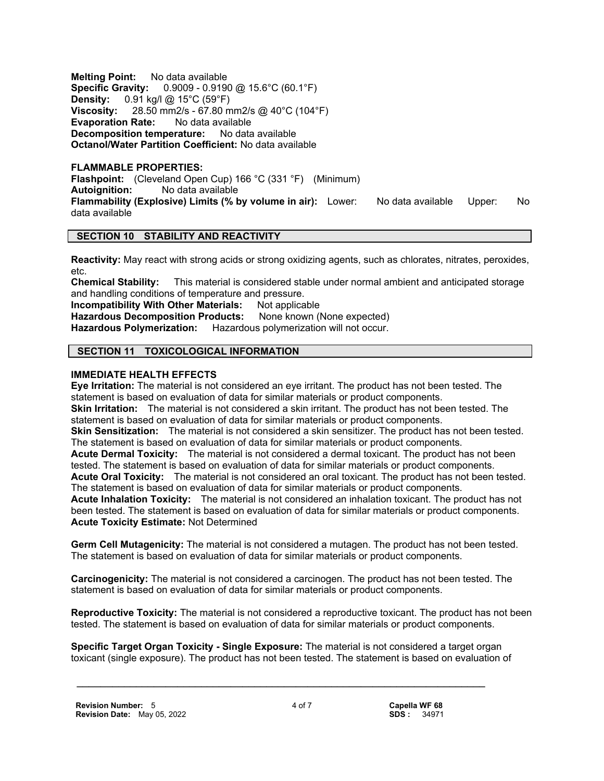**Melting Point:** No data available **Specific Gravity:** 0.9009 - 0.9190 @ 15.6°C (60.1°F) **Density:** 0.91 kg/l @ 15°C (59°F) **Viscosity:** 28.50 mm2/s - 67.80 mm2/s @ 40°C (104°F) **Evaporation Rate:** No data available **Decomposition temperature:** No data available **Octanol/Water Partition Coefficient:** No data available

#### **FLAMMABLE PROPERTIES:**

**Flashpoint:** (Cleveland Open Cup) 166 °C (331 °F) (Minimum) **Autoignition:** No data available **Flammability (Explosive) Limits (% by volume in air):** Lower: No data available Upper: No data available

## **SECTION 10 STABILITY AND REACTIVITY**

**Reactivity:** May react with strong acids or strong oxidizing agents, such as chlorates, nitrates, peroxides, etc.

**Chemical Stability:** This material is considered stable under normal ambient and anticipated storage and handling conditions of temperature and pressure.

**Incompatibility With Other Materials:** Not applicable

**Hazardous Decomposition Products:** None known (None expected) **Hazardous Polymerization:** Hazardous polymerization will not occur.

## **SECTION 11 TOXICOLOGICAL INFORMATION**

## **IMMEDIATE HEALTH EFFECTS**

**Eye Irritation:** The material is not considered an eye irritant. The product has not been tested. The statement is based on evaluation of data for similar materials or product components. **Skin Irritation:** The material is not considered a skin irritant. The product has not been tested. The statement is based on evaluation of data for similar materials or product components. **Skin Sensitization:** The material is not considered a skin sensitizer. The product has not been tested. The statement is based on evaluation of data for similar materials or product components. **Acute Dermal Toxicity:** The material is not considered a dermal toxicant. The product has not been tested. The statement is based on evaluation of data for similar materials or product components. **Acute Oral Toxicity:** The material is not considered an oral toxicant. The product has not been tested. The statement is based on evaluation of data for similar materials or product components. **Acute Inhalation Toxicity:** The material is not considered an inhalation toxicant. The product has not been tested. The statement is based on evaluation of data for similar materials or product components. **Acute Toxicity Estimate:** Not Determined

**Germ Cell Mutagenicity:** The material is not considered a mutagen. The product has not been tested. The statement is based on evaluation of data for similar materials or product components.

**Carcinogenicity:** The material is not considered a carcinogen. The product has not been tested. The statement is based on evaluation of data for similar materials or product components.

**Reproductive Toxicity:** The material is not considered a reproductive toxicant. The product has not been tested. The statement is based on evaluation of data for similar materials or product components.

**Specific Target Organ Toxicity - Single Exposure:** The material is not considered a target organ toxicant (single exposure). The product has not been tested. The statement is based on evaluation of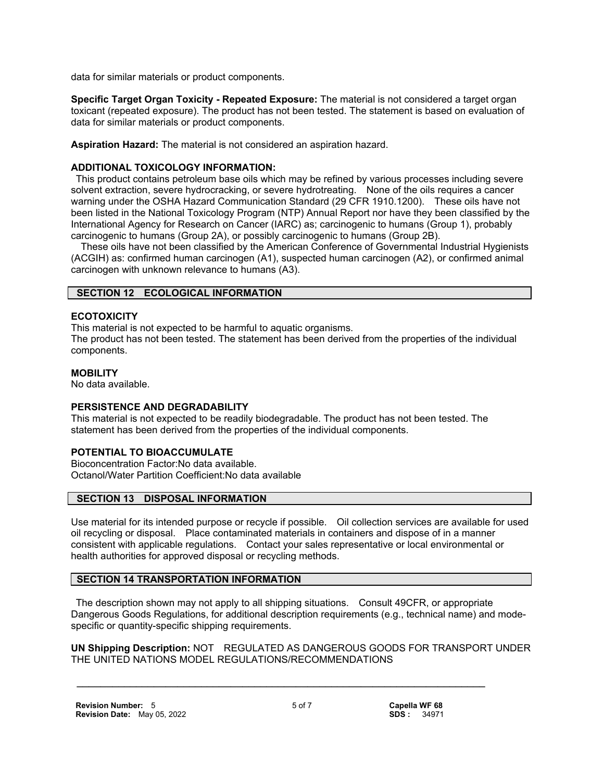data for similar materials or product components.

**Specific Target Organ Toxicity - Repeated Exposure:** The material is not considered a target organ toxicant (repeated exposure). The product has not been tested. The statement is based on evaluation of data for similar materials or product components.

**Aspiration Hazard:** The material is not considered an aspiration hazard.

## **ADDITIONAL TOXICOLOGY INFORMATION:**

 This product contains petroleum base oils which may be refined by various processes including severe solvent extraction, severe hydrocracking, or severe hydrotreating. None of the oils requires a cancer warning under the OSHA Hazard Communication Standard (29 CFR 1910.1200). These oils have not been listed in the National Toxicology Program (NTP) Annual Report nor have they been classified by the International Agency for Research on Cancer (IARC) as; carcinogenic to humans (Group 1), probably carcinogenic to humans (Group 2A), or possibly carcinogenic to humans (Group 2B).

 These oils have not been classified by the American Conference of Governmental Industrial Hygienists (ACGIH) as: confirmed human carcinogen (A1), suspected human carcinogen (A2), or confirmed animal carcinogen with unknown relevance to humans (A3).

## **SECTION 12 ECOLOGICAL INFORMATION**

## **ECOTOXICITY**

This material is not expected to be harmful to aquatic organisms. The product has not been tested. The statement has been derived from the properties of the individual components.

## **MOBILITY**

No data available.

## **PERSISTENCE AND DEGRADABILITY**

This material is not expected to be readily biodegradable. The product has not been tested. The statement has been derived from the properties of the individual components.

## **POTENTIAL TO BIOACCUMULATE**

Bioconcentration Factor:No data available. Octanol/Water Partition Coefficient:No data available

## **SECTION 13 DISPOSAL INFORMATION**

Use material for its intended purpose or recycle if possible. Oil collection services are available for used oil recycling or disposal. Place contaminated materials in containers and dispose of in a manner consistent with applicable regulations. Contact your sales representative or local environmental or health authorities for approved disposal or recycling methods.

## **SECTION 14 TRANSPORTATION INFORMATION**

 The description shown may not apply to all shipping situations. Consult 49CFR, or appropriate Dangerous Goods Regulations, for additional description requirements (e.g., technical name) and modespecific or quantity-specific shipping requirements.

**UN Shipping Description:** NOT REGULATED AS DANGEROUS GOODS FOR TRANSPORT UNDER THE UNITED NATIONS MODEL REGULATIONS/RECOMMENDATIONS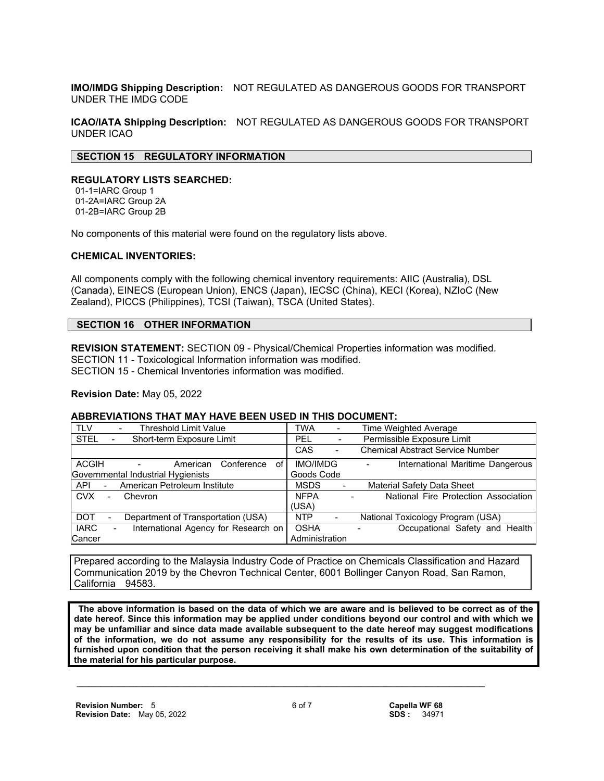**IMO/IMDG Shipping Description:** NOT REGULATED AS DANGEROUS GOODS FOR TRANSPORT UNDER THE IMDG CODE

**ICAO/IATA Shipping Description:** NOT REGULATED AS DANGEROUS GOODS FOR TRANSPORT UNDER ICAO

#### **SECTION 15 REGULATORY INFORMATION**

#### **REGULATORY LISTS SEARCHED:**

 01-1=IARC Group 1 01-2A=IARC Group 2A 01-2B=IARC Group 2B

No components of this material were found on the regulatory lists above.

#### **CHEMICAL INVENTORIES:**

All components comply with the following chemical inventory requirements: AIIC (Australia), DSL (Canada), EINECS (European Union), ENCS (Japan), IECSC (China), KECI (Korea), NZIoC (New Zealand), PICCS (Philippines), TCSI (Taiwan), TSCA (United States).

## **SECTION 16 OTHER INFORMATION**

**REVISION STATEMENT:** SECTION 09 - Physical/Chemical Properties information was modified. SECTION 11 - Toxicological Information information was modified. SECTION 15 - Chemical Inventories information was modified.

**Revision Date:** May 05, 2022

#### **ABBREVIATIONS THAT MAY HAVE BEEN USED IN THIS DOCUMENT:**

| <b>Threshold Limit Value</b><br><b>TLV</b>                    | Time Weighted Average<br><b>TWA</b><br>-                                          |
|---------------------------------------------------------------|-----------------------------------------------------------------------------------|
| <b>STEL</b><br>Short-term Exposure Limit                      | Permissible Exposure Limit<br>PEL<br>$\blacksquare$                               |
|                                                               | <b>Chemical Abstract Service Number</b><br>CAS<br>$\overline{\phantom{a}}$        |
| ACGIH<br>Conference<br>American<br>οf<br>$\sim 100$ m $^{-1}$ | <b>IMO/IMDG</b><br>International Maritime Dangerous<br>$\overline{\phantom{a}}$   |
| Governmental Industrial Hygienists                            | Goods Code                                                                        |
| American Petroleum Institute<br>API<br>$\sim 100$             | <b>Material Safety Data Sheet</b><br><b>MSDS</b>                                  |
| <b>CVX</b><br>Chevron<br>$\sim$                               | National Fire Protection Association  <br><b>NFPA</b><br>$\overline{\phantom{a}}$ |
|                                                               | (USA)                                                                             |
| <b>DOT</b><br>Department of Transportation (USA)<br>-         | National Toxicology Program (USA)<br><b>NTP</b>                                   |
| <b>IARC</b><br>International Agency for Research on           | <b>OSHA</b><br>Occupational Safety and Health                                     |
| Cancer                                                        | Administration                                                                    |

Prepared according to the Malaysia Industry Code of Practice on Chemicals Classification and Hazard Communication 2019 by the Chevron Technical Center, 6001 Bollinger Canyon Road, San Ramon, California 94583.

 **The above information is based on the data of which we are aware and is believed to be correct as of the date hereof. Since this information may be applied under conditions beyond our control and with which we may be unfamiliar and since data made available subsequent to the date hereof may suggest modifications of the information, we do not assume any responsibility for the results of its use. This information is furnished upon condition that the person receiving it shall make his own determination of the suitability of the material for his particular purpose.**